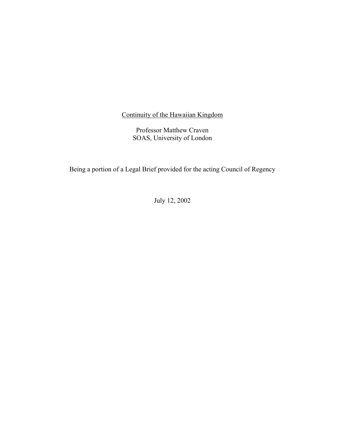Continuity of the Hawaiian Kingdom

Professor Matthew Craven SOAS, University of London

Being a portion of a Legal Brief provided for the acting Council of Regency

July 12, 2002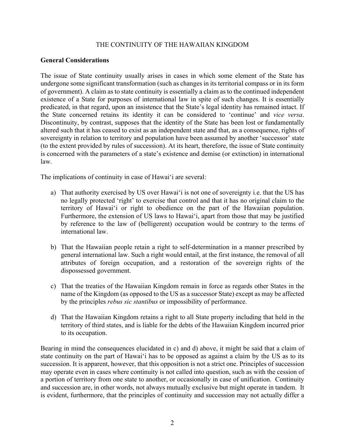## THE CONTINUITY OF THE HAWAIIAN KINGDOM

# **General Considerations**

The issue of State continuity usually arises in cases in which some element of the State has undergone some significant transformation (such as changes in its territorial compass or in its form of government). A claim as to state continuity is essentially a claim as to the continued independent existence of a State for purposes of international law in spite of such changes. It is essentially predicated, in that regard, upon an insistence that the State's legal identity has remained intact. If the State concerned retains its identity it can be considered to 'continue' and *vice versa*. Discontinuity, by contrast, supposes that the identity of the State has been lost or fundamentally altered such that it has ceased to exist as an independent state and that, as a consequence, rights of sovereignty in relation to territory and population have been assumed by another 'successor' state (to the extent provided by rules of succession). At its heart, therefore, the issue of State continuity is concerned with the parameters of a state's existence and demise (or extinction) in international law.

The implications of continuity in case of Hawai'i are several:

- a) That authority exercised by US over Hawai'i is not one of sovereignty i.e. that the US has no legally protected 'right' to exercise that control and that it has no original claim to the territory of Hawai'i or right to obedience on the part of the Hawaiian population. Furthermore, the extension of US laws to Hawai'i, apart from those that may be justified by reference to the law of (belligerent) occupation would be contrary to the terms of international law.
- b) That the Hawaiian people retain a right to self-determination in a manner prescribed by general international law. Such a right would entail, at the first instance, the removal of all attributes of foreign occupation, and a restoration of the sovereign rights of the dispossessed government.
- c) That the treaties of the Hawaiian Kingdom remain in force as regards other States in the name of the Kingdom (as opposed to the US as a successor State) except as may be affected by the principles *rebus sic stantibus* or impossibility of performance.
- d) That the Hawaiian Kingdom retains a right to all State property including that held in the territory of third states, and is liable for the debts of the Hawaiian Kingdom incurred prior to its occupation.

Bearing in mind the consequences elucidated in c) and d) above, it might be said that a claim of state continuity on the part of Hawai'i has to be opposed as against a claim by the US as to its succession. It is apparent, however, that this opposition is not a strict one. Principles of succession may operate even in cases where continuity is not called into question, such as with the cession of a portion of territory from one state to another, or occasionally in case of unification. Continuity and succession are, in other words, not always mutually exclusive but might operate in tandem. It is evident, furthermore, that the principles of continuity and succession may not actually differ a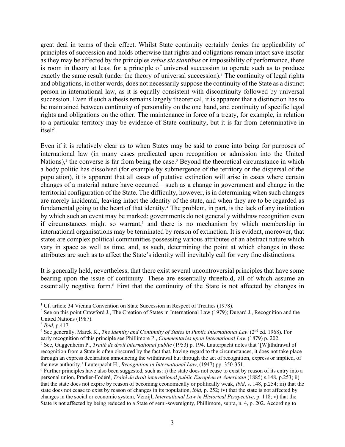great deal in terms of their effect. Whilst State continuity certainly denies the applicability of principles of succession and holds otherwise that rights and obligations remain intact save insofar as they may be affected by the principles *rebus sic stantibus* or impossibility of performance, there is room in theory at least for a principle of universal succession to operate such as to produce exactly the same result (under the theory of universal succession).<sup>1</sup> The continuity of legal rights and obligations, in other words, does not necessarily suppose the continuity of the State as a distinct person in international law, as it is equally consistent with discontinuity followed by universal succession. Even if such a thesis remains largely theoretical, it is apparent that a distinction has to be maintained between continuity of personality on the one hand, and continuity of specific legal rights and obligations on the other. The maintenance in force of a treaty, for example, in relation to a particular territory may be evidence of State continuity, but it is far from determinative in itself.

Even if it is relatively clear as to when States may be said to come into being for purposes of international law (in many cases predicated upon recognition or admission into the United Nations),<sup>2</sup> the converse is far from being the case.<sup>3</sup> Beyond the theoretical circumstance in which a body politic has dissolved (for example by submergence of the territory or the dispersal of the population), it is apparent that all cases of putative extinction will arise in cases where certain changes of a material nature have occurred—such as a change in government and change in the territorial configuration of the State. The difficulty, however, is in determining when such changes are merely incidental, leaving intact the identity of the state, and when they are to be regarded as fundamental going to the heart of that identity.4 The problem, in part, is the lack of any institution by which such an event may be marked: governments do not generally withdraw recognition even if circumstances might so warrant,<sup>5</sup> and there is no mechanism by which membership in international organisations may be terminated by reason of extinction. It is evident, moreover, that states are complex political communities possessing various attributes of an abstract nature which vary in space as well as time, and, as such, determining the point at which changes in those attributes are such as to affect the State's identity will inevitably call for very fine distinctions.

It is generally held, nevertheless, that there exist several uncontroversial principles that have some bearing upon the issue of continuity. These are essentially threefold, all of which assume an essentially negative form.6 First that the continuity of the State is not affected by changes in

<sup>&</sup>lt;sup>1</sup> Cf. article 34 Vienna Convention on State Succession in Respect of Treaties (1978).

<sup>2</sup> See on this point Crawford J., The Creation of States in International Law (1979); Dugard J., Recognition and the United Nations (1987).

<sup>3</sup> *Ibid*, p.417.

<sup>&</sup>lt;sup>4</sup> See generally, Marek K., *The Identity and Continuity of States in Public International Law* (2<sup>nd</sup> ed. 1968). For early recognition of this principle see Phillimore P., *Commentaries upon International Law* (1879) p. 202.

<sup>5</sup> See, Guggenheim P., *Traité de droit international public* (1953) p. 194. Lauterpacht notes that '[W]ithdrawal of recognition from a State is often obscured by the fact that, having regard to the circumstances, it does not take place through an express declaration announcing the withdrawal but through the act of recognition, express or implied, of the new authority.' Lauterpacht H., *Recognition in International Law*, (1947) pp. 350-351.

<sup>6</sup> Further principles have also been suggested, such as: i) the state does not cease to exist by reason of its entry into a personal union, Pradier-Fodéré, *Traité de droit international public Européen et Americain* (1885) s.148, p.253; ii) that the state does not expire by reason of becoming economically or politically weak, *ibid*, s. 148, p.254; iii) that the state does not cease to exist by reason of changes in its population, *ibid,* p. 252; iv) that the state is not affected by changes in the social or economic system, Verzijl, *International Law in Historical Perspective*, p. 118; v) that the State is not affected by being reduced to a State of semi-sovereignty, Phillimore, supra, n. 4, p. 202. According to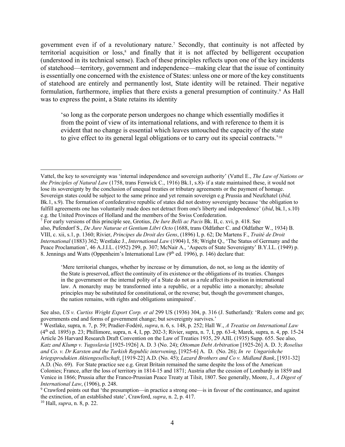government even if of a revolutionary nature.7 Secondly, that continuity is not affected by territorial acquisition or  $loss$ <sup>8</sup> and finally that it is not affected by belligerent occupation (understood in its technical sense). Each of these principles reflects upon one of the key incidents of statehood—territory, government and independence—making clear that the issue of continuity is essentially one concerned with the existence of States: unless one or more of the key constituents of statehood are entirely and permanently lost, State identity will be retained. Their negative formulation, furthermore, implies that there exists a general presumption of continuity.<sup>9</sup> As Hall was to express the point, a State retains its identity

'so long as the corporate person undergoes no change which essentially modifies it from the point of view of its international relations, and with reference to them it is evident that no change is essential which leaves untouched the capacity of the state to give effect to its general legal obligations or to carry out its special contracts.'10

'Mere territorial changes, whether by increase or by dimunution, do not, so long as the identity of the State is preserved, affect the continuity of its existence or the obligations of its treaties. Changes in the government or the internal polity of a State do not as a rule affect its position in international law. A monarchy may be transformed into a republic, or a republic into a monarchy; absolute principles may be substituted for constitutional, or the reverse; but, though the government changes, the nation remains, with rights and obligations unimpaired'.

<sup>10</sup> Hall, *supra*, n. 8, p. 22.

Vattel, the key to sovereignty was 'internal independence and sovereign authority' (Vattel E., *The Law of Nations or the Principles of Natural Law* (1758, trans Fenwick C., 1916) Bk.1, s.8)- if a state maintained these, it would not lose its sovereignty by the conclusion of unequal treaties or tributary agreements or the payment of homage. Sovereign states could be subject to the same prince and yet remain sovereign e.g Prussia and Neufchatel (*ibid,*  Bk.1, s.9). The formation of confederative republic of states did not destroy sovereignty because 'the obligation to fulfill agreements one has voluntarily made does not detract from one's liberty and independence' (*ibid*, bk.1, s.10) e.g. the United Provinces of Holland and the members of the Swiss Confederation.

<sup>7</sup> For early versions of this principle see, Grotius, *De Iure Belli ac Pacis* Bk. II, c. xvi, p. 418. See also, Pufendorf S., *De Jure Naturae et Gentium Libri Octo* (1688, trans Oldfather C. and Oldfather W., 1934) B. VIII, c. xii, s.1, p. 1360; Rivier, *Principes du Droit des Gens*, (1896) I, p. 62; De Martens F., *Traité de Droit International* (1883) 362; Westlake J., *International Law* (1904) I, 58; Wright Q., 'The Status of Germany and the Peace Proclamation', 46 A.J.I.L. (1952) 299, p. 307; McNair A., 'Aspects of State Sovereignty' B.Y.I.L. (1949) p. 8. Jennings and Watts (Oppenheim's International Law  $(9<sup>th</sup>$  ed. 1996), p. 146) declare that:

See also, *US v. Curtiss Wright Export Corp. et al* 299 US (1936) 304, p. 316 (J. Sutherland): 'Rulers come and go; governments end and forms of government change; but sovereignty survives.'

<sup>8</sup> Westlake, supra, n. 7, p. 59; Pradier-Fodéré, *supra*, n. 6, s. 148, p. 252; Hall W., *A Treatise on International Law*  (4th ed. 1895) p. 23; Phillimore, supra, n. 4, I, pp. 202-3; Rivier, supra, n. 7, I, pp. 63-4; Marek, supra, n. 4, pp. 15-24 Article 26 Harvard Research Draft Convention on the Law of Treaties 1935, 29 AJIL (1935) Supp. 655. See also, *Katz and Klump v. Yugoslavia* [1925-1926] A. D. 3 (No. 24); *Ottoman Debt Arbitration* [1925-26] A. D. 3; *Roselius and Co. v. Dr Karsten and the Turkish Republic intervening*, [1925-6] A. D. (No. 26); *In re Ungarishche kriegsprodukien Aktiengesellschaft*, [1919-22] A.D. (No. 45); *Lazard Brothers and Co v. Midland Bank*, [1931-32] A.D. (No. 69). For State practice see e.g. Great Britain remained the same despite the loss of the American Colonies; France, after the loss of territory in 1814-15 and 1871; Austria after the cession of Lombardy in 1859 and Venice in 1866; Prussia after the Franco-Prussian Peace Treaty at Tilsit, 1807. See generally, Moore, J., *A Digest of International Law*, (1906), p. 248.

<sup>9</sup> Crawford points out that 'the presumption—in practice a strong one—is in favour of the continuance, and against the extinction, of an established state', Crawford, *supra*, n. 2, p. 417.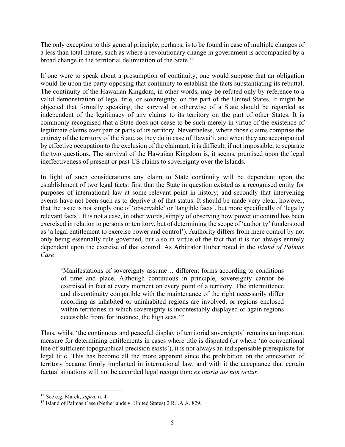The only exception to this general principle, perhaps, is to be found in case of multiple changes of a less than total nature, such as where a revolutionary change in government is accompanied by a broad change in the territorial delimitation of the State.<sup>11</sup>

If one were to speak about a presumption of continuity, one would suppose that an obligation would lie upon the party opposing that continuity to establish the facts substantiating its rebuttal. The continuity of the Hawaiian Kingdom, in other words, may be refuted only by reference to a valid demonstration of legal title, or sovereignty, on the part of the United States. It might be objected that formally speaking, the survival or otherwise of a State should be regarded as independent of the legitimacy of any claims to its territory on the part of other States. It is commonly recognised that a State does not cease to be such merely in virtue of the existence of legitimate claims over part or parts of its territory. Nevertheless, where those claims comprise the entirety of the territory of the State, as they do in case of Hawai'i, and when they are accompanied by effective occupation to the exclusion of the claimant, it is difficult, if not impossible, to separate the two questions. The survival of the Hawaiian Kingdom is, it seems, premised upon the legal ineffectiveness of present or past US claims to sovereignty over the Islands.

In light of such considerations any claim to State continuity will be dependent upon the establishment of two legal facts: first that the State in question existed as a recognised entity for purposes of international law at some relevant point in history; and secondly that intervening events have not been such as to deprive it of that status. It should be made very clear, however, that the issue is not simply one of 'observable' or 'tangible facts', but more specifically of 'legally relevant facts'. It is not a case, in other words, simply of observing how power or control has been exercised in relation to persons or territory, but of determining the scope of 'authority' (understood as 'a legal entitlement to exercise power and control'). Authority differs from mere control by not only being essentially rule governed, but also in virtue of the fact that it is not always entirely dependent upon the exercise of that control. As Arbitrator Huber noted in the *Island of Palmas Case*:

'Manifestations of sovereignty assume… different forms according to conditions of time and place. Although continuous in principle, sovereignty cannot be exercised in fact at every moment on every point of a territory. The intermittence and discontinuity compatible with the maintenance of the right necessarily differ according as inhabited or uninhabited regions are involved, or regions enclosed within territories in which sovereignty is incontestably displayed or again regions accessible from, for instance, the high seas.'12

Thus, whilst 'the continuous and peaceful display of territorial sovereignty' remains an important measure for determining entitlements in cases where title is disputed (or where 'no conventional line of sufficient topographical precision exists'), it is not always an indispensable prerequisite for legal title. This has become all the more apparent since the prohibition on the annexation of territory became firmly implanted in international law, and with it the acceptance that certain factual situations will not be accorded legal recognition: *ex inuria ius non oritur*.

<sup>11</sup> See e.g. Marek, *supra*, n. 4.

<sup>12</sup> Island of Palmas Case (Netherlands v. United States) 2 R.I.A.A. 829.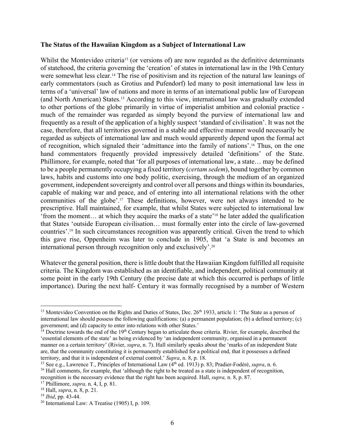#### **The Status of the Hawaiian Kingdom as a Subject of International Law**

Whilst the Montevideo criteria<sup>13</sup> (or versions of) are now regarded as the definitive determinants of statehood, the criteria governing the 'creation' of states in international law in the 19th Century were somewhat less clear.<sup>14</sup> The rise of positivism and its rejection of the natural law leanings of early commentators (such as Grotius and Pufendorf) led many to posit international law less in terms of a 'universal' law of nations and more in terms of an international public law of European (and North American) States.15 According to this view, international law was gradually extended to other portions of the globe primarily in virtue of imperialist ambition and colonial practice much of the remainder was regarded as simply beyond the purview of international law and frequently as a result of the application of a highly suspect 'standard of civilisation'. It was not the case, therefore, that all territories governed in a stable and effective manner would necessarily be regarded as subjects of international law and much would apparently depend upon the formal act of recognition, which signaled their 'admittance into the family of nations'.16 Thus, on the one hand commentators frequently provided impressively detailed 'definitions' of the State. Phillimore, for example, noted that 'for all purposes of international law, a state… may be defined to be a people permanently occupying a fixed territory (*certam sedem*), bound together by common laws, habits and customs into one body politic, exercising, through the medium of an organized government, independent sovereignty and control over all persons and things within its boundaries, capable of making war and peace, and of entering into all international relations with the other communities of the globe'.17 These definitions, however, were not always intended to be prescriptive. Hall maintained, for example, that whilst States were subjected to international law 'from the moment… at which they acquire the marks of a state'18 he later added the qualification that States 'outside European civilisation… must formally enter into the circle of law-governed countries'.19 In such circumstances recognition was apparently critical. Given the trend to which this gave rise, Oppenheim was later to conclude in 1905, that 'a State is and becomes an international person through recognition only and exclusively'.20

Whatever the general position, there is little doubt that the Hawaiian Kingdom fulfilled all requisite criteria. The Kingdom was established as an identifiable, and independent, political community at some point in the early 19th Century (the precise date at which this occurred is perhaps of little importance). During the next half- Century it was formally recognised by a number of Western

<sup>&</sup>lt;sup>13</sup> Montevideo Convention on the Rights and Duties of States, Dec.  $26<sup>th</sup>$  1933, article 1: 'The State as a person of international law should possess the following qualifications: (a) a permanent population; (b) a defined territory; (c) government; and (d) capacity to enter into relations with other States.'

 $14$  Doctrine towards the end of the  $19<sup>th</sup>$  Century began to articulate those criteria. Rivier, for example, described the 'essential elements of the state' as being evidenced by 'an independent community, organised in a permanent manner on a certain territory' (Rivier, *supra*, n. 7). Hall similarly speaks about the 'marks of an independent State are, that the community constituting it is permanently established for a political end, that it possesses a defined territory, and that it is independent of external control.' *Supra*, n. 8, p. 18.

<sup>&</sup>lt;sup>15</sup> See e.g., Lawrence T., Principles of International Law (4<sup>th</sup> ed. 1913) p. 83; Pradier-Fodéré, *supra*, n. 6.

<sup>&</sup>lt;sup>16</sup> Hall comments, for example, that 'although the right to be treated as a state is independent of recognition, recognition is the necessary evidence that the right has been acquired. Hall, *supra,* n. 8, p. 87.

<sup>17</sup> Phillimore, *supra,* n. 4, I, p. 81.

<sup>18</sup> Hall, *supra*, n. 8, p. 21.

<sup>19</sup> *Ibid*, pp. 43-44.

<sup>&</sup>lt;sup>20</sup> International Law: A Treatise  $(1905)$  I, p. 109.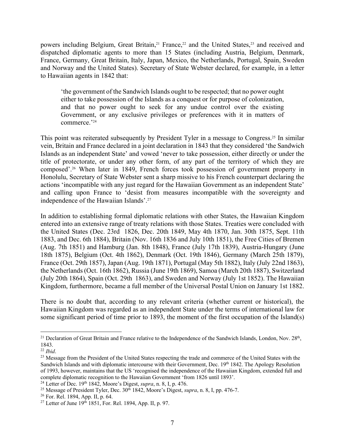powers including Belgium, Great Britain,<sup>21</sup> France,<sup>22</sup> and the United States,<sup>23</sup> and received and dispatched diplomatic agents to more than 15 States (including Austria, Belgium, Denmark, France, Germany, Great Britain, Italy, Japan, Mexico, the Netherlands, Portugal, Spain, Sweden and Norway and the United States). Secretary of State Webster declared, for example, in a letter to Hawaiian agents in 1842 that:

'the government of the Sandwich Islands ought to be respected; that no power ought either to take possession of the Islands as a conquest or for purpose of colonization, and that no power ought to seek for any undue control over the existing Government, or any exclusive privileges or preferences with it in matters of commerce.'24

This point was reiterated subsequently by President Tyler in a message to Congress.<sup>25</sup> In similar vein, Britain and France declared in a joint declaration in 1843 that they considered 'the Sandwich Islands as an independent State' and vowed 'never to take possession, either directly or under the title of protectorate, or under any other form, of any part of the territory of which they are composed'.26 When later in 1849, French forces took possession of government property in Honolulu, Secretary of State Webster sent a sharp missive to his French counterpart declaring the actions 'incompatible with any just regard for the Hawaiian Government as an independent State' and calling upon France to 'desist from measures incompatible with the sovereignty and independence of the Hawaiian Islands'.27

In addition to establishing formal diplomatic relations with other States, the Hawaiian Kingdom entered into an extensive range of treaty relations with those States. Treaties were concluded with the United States (Dec. 23rd 1826, Dec. 20th 1849, May 4th 1870, Jan. 30th 1875, Sept. 11th 1883, and Dec. 6th 1884), Britain (Nov. 16th 1836 and July 10th 1851), the Free Cities of Bremen (Aug. 7th 1851) and Hamburg (Jan. 8th 1848), France (July 17th 1839), Austria-Hungary (June 18th 1875), Belgium (Oct. 4th 1862), Denmark (Oct. 19th 1846), Germany (March 25th 1879), France (Oct. 29th 1857), Japan (Aug. 19th 1871), Portugal (May 5th 1882), Italy (July 22nd 1863), the Netherlands (Oct. 16th 1862), Russia (June 19th 1869), Samoa (March 20th 1887), Switzerland (July 20th 1864), Spain (Oct. 29th 1863), and Sweden and Norway (July 1st 1852). The Hawaiian Kingdom, furthermore, became a full member of the Universal Postal Union on January 1st 1882.

There is no doubt that, according to any relevant criteria (whether current or historical), the Hawaiian Kingdom was regarded as an independent State under the terms of international law for some significant period of time prior to 1893, the moment of the first occupation of the Island(s)

<sup>&</sup>lt;sup>21</sup> Declaration of Great Britain and France relative to the Independence of the Sandwich Islands, London, Nov. 28<sup>th</sup>, 1843.

<sup>22</sup> *Ibid*.

<sup>&</sup>lt;sup>23</sup> Message from the President of the United States respecting the trade and commerce of the United States with the Sandwich Islands and with diplomatic intercourse with their Government, Dec. 19th 1842. The Apology Resolution of 1993, however, maintains that the US 'recognised the independence of the Hawaiian Kingdom, extended full and complete diplomatic recognition to the Hawaiian Government 'from 1826 until 1893'.

<sup>&</sup>lt;sup>24</sup> Letter of Dec. 19<sup>th</sup> 1842, Moore's Digest, *supra*, n. 8, I, p. 476.

<sup>&</sup>lt;sup>25</sup> Message of President Tyler, Dec.  $30<sup>th</sup> 1842$ , Moore's Digest, *supra*, n. 8, I, pp. 476-7.

<sup>26</sup> For. Rel. 1894, App. II, p. 64.

<sup>&</sup>lt;sup>27</sup> Letter of June  $19^{th}$  1851, For. Rel. 1894, App. II, p. 97.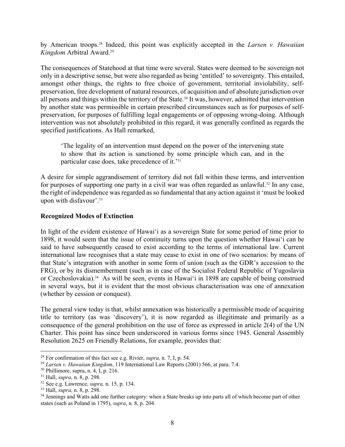by American troops.28 Indeed, this point was explicitly accepted in the *Larsen v. Hawaiian Kingdom* Arbitral Award.29

The consequences of Statehood at that time were several. States were deemed to be sovereign not only in a descriptive sense, but were also regarded as being 'entitled' to sovereignty. This entailed, amongst other things, the rights to free choice of government, territorial inviolability, selfpreservation, free development of natural resources, of acquisition and of absolute jurisdiction over all persons and things within the territory of the State.<sup>30</sup> It was, however, admitted that intervention by another state was permissible in certain prescribed circumstances such as for purposes of selfpreservation, for purposes of fulfilling legal engagements or of opposing wrong-doing. Although intervention was not absolutely prohibited in this regard, it was generally confined as regards the specified justifications. As Hall remarked,

'The legality of an intervention must depend on the power of the intervening state to show that its action is sanctioned by some principle which can, and in the particular case does, take precedence of it.'31

A desire for simple aggrandisement of territory did not fall within these terms, and intervention for purposes of supporting one party in a civil war was often regarded as unlawful.<sup>32</sup> In any case, the right of independence was regarded as so fundamental that any action against it 'must be looked upon with disfavour'.33

# **Recognized Modes of Extinction**

In light of the evident existence of Hawai'i as a sovereign State for some period of time prior to 1898, it would seem that the issue of continuity turns upon the question whether Hawai'i can be said to have subsequently ceased to exist according to the terms of international law. Current international law recognises that a state may cease to exist in one of two scenarios: by means of that State's integration with another in some form of union (such as the GDR's accession to the FRG), or by its dismemberment (such as in case of the Socialist Federal Republic of Yugoslavia or Czechoslovakia).34 As will be seen, events in Hawai'i in 1898 are capable of being construed in several ways, but it is evident that the most obvious characterisation was one of annexation (whether by cession or conquest).

The general view today is that, whilst annexation was historically a permissible mode of acquiring title to territory (as was 'discovery'), it is now regarded as illegitimate and primarily as a consequence of the general prohibition on the use of force as expressed in article 2(4) of the UN Charter. This point has since been underscored in various forms since 1945. General Assembly Resolution 2625 on Friendly Relations, for example, provides that:

<sup>28</sup> For confirmation of this fact see e.g. Rivier, *supra,* n. 7, I, p. 54.

<sup>29</sup> *Larsen v. Hawaiian Kingdom*, 119 International Law Reports (2001) 566, at para. 7.4.

 $30$  Phillimore, supra, n. 4, I, p. 216.

<sup>31</sup> Hall, *supra*, n. 8, p. 298.

<sup>32</sup> See e.g. Lawrence, *supra,* n. 15, p. 134.

<sup>33</sup> Hall, *supra*, n. 8, p. 298.

<sup>&</sup>lt;sup>34</sup> Jennings and Watts add one further category: when a State breaks up into parts all of which become part of other states (such as Poland in 1795), *supra*, n. 8, p. 204.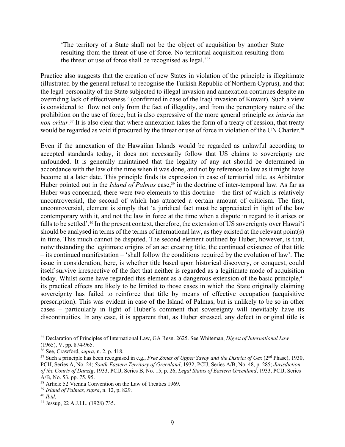'The territory of a State shall not be the object of acquisition by another State resulting from the threat of use of force. No territorial acquisition resulting from the threat or use of force shall be recognised as legal.'35

Practice also suggests that the creation of new States in violation of the principle is illegitimate (illustrated by the general refusal to recognise the Turkish Republic of Northern Cyprus), and that the legal personality of the State subjected to illegal invasion and annexation continues despite an overriding lack of effectiveness<sup>36</sup> (confirmed in case of the Iraqi invasion of Kuwait). Such a view is considered to flow not only from the fact of illegality, and from the peremptory nature of the prohibition on the use of force, but is also expressive of the more general principle *ex iniuria ius non oritur*. <sup>37</sup> It is also clear that where annexation takes the form of a treaty of cession, that treaty would be regarded as void if procured by the threat or use of force in violation of the UN Charter.<sup>38</sup>

Even if the annexation of the Hawaiian Islands would be regarded as unlawful according to accepted standards today, it does not necessarily follow that US claims to sovereignty are unfounded. It is generally maintained that the legality of any act should be determined in accordance with the law of the time when it was done, and not by reference to law as it might have become at a later date. This principle finds its expression in case of territorial title, as Arbitrator Huber pointed out in the *Island of Palmas* case,<sup>39</sup> in the doctrine of inter-temporal law. As far as Huber was concerned, there were two elements to this doctrine – the first of which is relatively uncontroversial, the second of which has attracted a certain amount of criticism. The first, uncontroversial, element is simply that 'a juridical fact must be appreciated in light of the law contemporary with it, and not the law in force at the time when a dispute in regard to it arises or falls to be settled'.40 In the present context, therefore, the extension of US sovereignty over Hawai'i should be analysed in terms of the terms of international law, as they existed at the relevant point(s) in time. This much cannot be disputed. The second element outlined by Huber, however, is that, notwithstanding the legitimate origins of an act creating title, the continued existence of that title – its continued manifestation – 'shall follow the conditions required by the evolution of law'. The issue in consideration, here, is whether title based upon historical discovery, or conquest, could itself survive irrespective of the fact that neither is regarded as a legitimate mode of acquisition today. Whilst some have regarded this element as a dangerous extension of the basic principle,<sup>41</sup> its practical effects are likely to be limited to those cases in which the State originally claiming sovereignty has failed to reinforce that title by means of effective occupation (acquisitive prescription). This was evident in case of the Island of Palmas, but is unlikely to be so in other cases – particularly in light of Huber's comment that sovereignty will inevitably have its discontinuities. In any case, it is apparent that, as Huber stressed, any defect in original title is

<sup>35</sup> Declaration of Principles of International Law, GA Resn. 2625. See Whiteman, *Digest of International Law*  (1965), V, pp. 874-965.

<sup>36</sup> See, Crawford, *supra*, n. 2, p. 418.

<sup>&</sup>lt;sup>37</sup> Such a principle has been recognised in e.g., *Free Zones of Upper Savoy and the District of Gex* (2<sup>nd</sup> Phase), 1930, PCIJ, Series A, No. 24; *South-Eastern Territory of Greenland*, 1932, PCIJ, Series A/B, No. 48, p. 285; *Jurisdiction of the Courts of Danzig*, 1933, PCIJ, Series B, No. 15, p. 26; *Legal Status of Eastern Greenland*, 1933, PCIJ, Series A/B, No. 53, pp. 75, 95.

<sup>38</sup> Article 52 Vienna Convention on the Law of Treaties 1969.

<sup>39</sup> *Island of Palmas, supra*, n. 12, p. 829.

<sup>40</sup> *Ibid*.

<sup>41</sup> Jessup, 22 A.J.I.L. (1928) 735.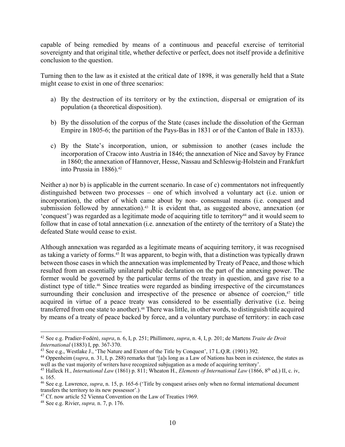capable of being remedied by means of a continuous and peaceful exercise of territorial sovereignty and that original title, whether defective or perfect, does not itself provide a definitive conclusion to the question.

Turning then to the law as it existed at the critical date of 1898, it was generally held that a State might cease to exist in one of three scenarios:

- a) By the destruction of its territory or by the extinction, dispersal or emigration of its population (a theoretical disposition).
- b) By the dissolution of the corpus of the State (cases include the dissolution of the German Empire in 1805-6; the partition of the Pays-Bas in 1831 or of the Canton of Bale in 1833).
- c) By the State's incorporation, union, or submission to another (cases include the incorporation of Cracow into Austria in 1846; the annexation of Nice and Savoy by France in 1860; the annexation of Hannover, Hesse, Nassau and Schleswig-Holstein and Frankfurt into Prussia in 1886).<sup>42</sup>

Neither a) nor b) is applicable in the current scenario. In case of c) commentators not infrequently distinguished between two processes – one of which involved a voluntary act (i.e. union or incorporation), the other of which came about by non- consensual means (i.e. conquest and submission followed by annexation).<sup>43</sup> It is evident that, as suggested above, annexation (or 'conquest') was regarded as a legitimate mode of acquiring title to territory<sup>44</sup> and it would seem to follow that in case of total annexation (i.e. annexation of the entirety of the territory of a State) the defeated State would cease to exist.

Although annexation was regarded as a legitimate means of acquiring territory, it was recognised as taking a variety of forms.<sup>45</sup> It was apparent, to begin with, that a distinction was typically drawn between those cases in which the annexation was implemented by Treaty of Peace, and those which resulted from an essentially unilateral public declaration on the part of the annexing power. The former would be governed by the particular terms of the treaty in question, and gave rise to a distinct type of title.<sup>46</sup> Since treaties were regarded as binding irrespective of the circumstances surrounding their conclusion and irrespective of the presence or absence of coercion, $47$  title acquired in virtue of a peace treaty was considered to be essentially derivative (i.e. being transferred from one state to another).<sup>48</sup> There was little, in other words, to distinguish title acquired by means of a treaty of peace backed by force, and a voluntary purchase of territory: in each case

<sup>42</sup> See e.g. Pradier-Fodéré, *supra*, n. 6, I, p. 251; Phillimore, *supra*, n. 4, I, p. 201; de Martens *Traite de Droit International* (1883) I, pp. 367-370.

<sup>43</sup> See e.g., Westlake J., 'The Nature and Extent of the Title by Conquest', 17 L.Q.R. (1901) 392.

<sup>44</sup> Oppenheim (*supra*, n. 31, I, p. 288) remarks that '[a]s long as a Law of Nations has been in existence, the states as well as the vast majority of writers have recognized subjugation as a mode of acquiring territory'.

<sup>45</sup> Halleck H., *International Law* (1861) p. 811; Wheaton H., *Elements of International Law* (1866, 8th ed.) II, c. iv, s. 165.

<sup>46</sup> See e.g. Lawrence, *supra*, n. 15, p. 165-6 ('Title by conquest arises only when no formal international document transfers the territory to its new possessor'.)

<sup>&</sup>lt;sup>47</sup> Cf. now article 52 Vienna Convention on the Law of Treaties 1969.

<sup>48</sup> See e.g. Rivier, *supra,* n. 7, p. 176.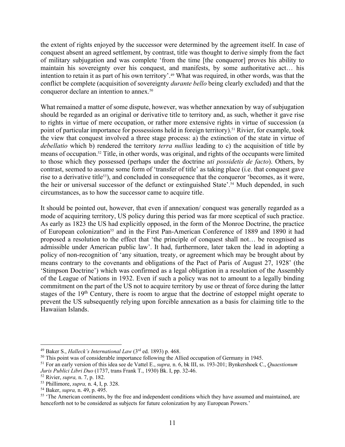the extent of rights enjoyed by the successor were determined by the agreement itself. In case of conquest absent an agreed settlement, by contrast, title was thought to derive simply from the fact of military subjugation and was complete 'from the time [the conqueror] proves his ability to maintain his sovereignty over his conquest, and manifests, by some authoritative act… his intention to retain it as part of his own territory'.<sup>49</sup> What was required, in other words, was that the conflict be complete (acquisition of sovereignty *durante bello* being clearly excluded) and that the conqueror declare an intention to annex.50

What remained a matter of some dispute, however, was whether annexation by way of subjugation should be regarded as an original or derivative title to territory and, as such, whether it gave rise to rights in virtue of mere occupation, or rather more extensive rights in virtue of succession (a point of particular importance for possessions held in foreign territory).<sup>51</sup> Rivier, for example, took the view that conquest involved a three stage process: a) the extinction of the state in virtue of *debellatio* which b) rendered the territory *terra nullius* leading to c) the acquisition of title by means of occupation.52 Title, in other words, was original, and rights of the occupants were limited to those which they possessed (perhaps under the doctrine *uti possidetis de facto*). Others, by contrast, seemed to assume some form of 'transfer of title' as taking place (i.e. that conquest gave rise to a derivative title<sup>53</sup>), and concluded in consequence that the conqueror 'becomes, as it were, the heir or universal successor of the defunct or extinguished State'.<sup>54</sup> Much depended, in such circumstances, as to how the successor came to acquire title.

It should be pointed out, however, that even if annexation/ conquest was generally regarded as a mode of acquiring territory, US policy during this period was far more sceptical of such practice. As early as 1823 the US had explicitly opposed, in the form of the Monroe Doctrine, the practice of European colonization<sup>55</sup> and in the First Pan-American Conference of 1889 and 1890 it had proposed a resolution to the effect that 'the principle of conquest shall not… be recognised as admissible under American public law'. It had, furthermore, later taken the lead in adopting a policy of non-recognition of 'any situation, treaty, or agreement which may be brought about by means contrary to the covenants and obligations of the Pact of Paris of August 27, 1928' (the 'Stimpson Doctrine') which was confirmed as a legal obligation in a resolution of the Assembly of the League of Nations in 1932. Even if such a policy was not to amount to a legally binding commitment on the part of the US not to acquire territory by use or threat of force during the latter stages of the 19<sup>th</sup> Century, there is room to argue that the doctrine of estoppel might operate to prevent the US subsequently relying upon forcible annexation as a basis for claiming title to the Hawaiian Islands.

<sup>49</sup> Baker S., *Halleck's International Law* (3rd ed. 1893) p. 468.

<sup>&</sup>lt;sup>50</sup> This point was of considerable importance following the Allied occupation of Germany in 1945.

<sup>51</sup> For an early version of this idea see de Vattel E., *supra,* n. 6, bk III, ss. 193-201; Bynkershoek C., *Quaestionum Juris Publici Libri Duo* (1737, trans Frank T., 1930) Bk. I, pp. 32-46.

<sup>52</sup> Rivier, *supra,* n. 7, p. 182.

<sup>53</sup> Phillimore, *supra,* n. 4, I, p. 328.

<sup>54</sup> Baker, *supra,* n. 49, p. 495.

<sup>&</sup>lt;sup>55</sup> 'The American continents, by the free and independent conditions which they have assumed and maintained, are henceforth not to be considered as subjects for future colonization by any European Powers.'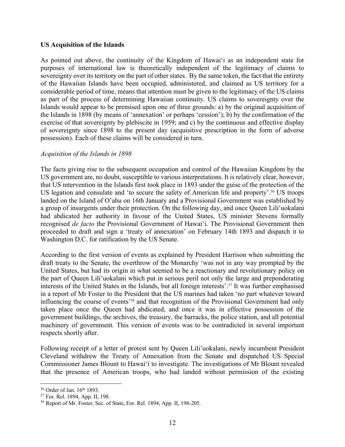#### **US Acquisition of the Islands**

As pointed out above, the continuity of the Kingdom of Hawai'i as an independent state for purposes of international law is theoretically independent of the legitimacy of claims to sovereignty over its territory on the part of other states. By the same token, the fact that the entirety of the Hawaiian Islands have been occupied, administered, and claimed as US territory for a considerable period of time, means that attention must be given to the legitimacy of the US claims as part of the process of determining Hawaiian continuity. US claims to sovereignty over the Islands would appear to be premised upon one of three grounds: a) by the original acquisition of the Islands in 1898 (by means of 'annexation' or perhaps 'cession'); b) by the confirmation of the exercise of that sovereignty by plebiscite in 1959; and c) by the continuous and effective display of sovereignty since 1898 to the present day (acquisitive prescription in the form of adverse possession). Each of these claims will be considered in turn.

## *Acquisition of the Islands in 1898*

The facts giving rise to the subsequent occupation and control of the Hawaiian Kingdom by the US government are, no doubt, susceptible to various interpretations. It is relatively clear, however, that US intervention in the Islands first took place in 1893 under the guise of the protection of the US legation and consulate and 'to secure the safety of American life and property'.<sup>56</sup> US troops landed on the Island of O'ahu on 16th January and a Provisional Government was established by a group of insurgents under their protection. On the following day, and once Queen Lili'uokalani had abdicated her authority in favour of the United States, US minister Stevens formally recognised *de facto* the Provisional Government of Hawai'i. The Provisional Government then proceeded to draft and sign a 'treaty of annexation' on February 14th 1893 and dispatch it to Washington D.C. for ratification by the US Senate.

According to the first version of events as explained by President Harrison when submitting the draft treaty to the Senate, the overthrow of the Monarchy 'was not in any way prompted by the United States, but had its origin in what seemed to be a reactionary and revolutionary policy on the part of Queen Lili'uokalani which put in serious peril not only the large and preponderating interests of the United States in the Islands, but all foreign interests'.57 It was further emphasised in a report of Mr Foster to the President that the US marines had taken 'no part whatever toward influencing the course of events'58 and that recognition of the Provisional Government had only taken place once the Queen had abdicated, and once it was in effective possession of the government buildings, the archives, the treasury, the barracks, the police station, and all potential machinery of government. This version of events was to be contradicted in several important respects shortly after.

Following receipt of a letter of protest sent by Queen Lili'uokalani, newly incumbent President Cleveland withdrew the Treaty of Annexation from the Senate and dispatched US Special Commissioner James Blount to Hawai'i to investigate. The investigations of Mr Blount revealed that the presence of American troops, who had landed without permission of the existing

<sup>&</sup>lt;sup>56</sup> Order of Jan. 16<sup>th</sup> 1893.

<sup>57</sup> For. Rel. 1894, App. II, 198.

<sup>58</sup> Report of Mr. Foster, Sec. of State, For. Rel. 1894, App. II, 198-205.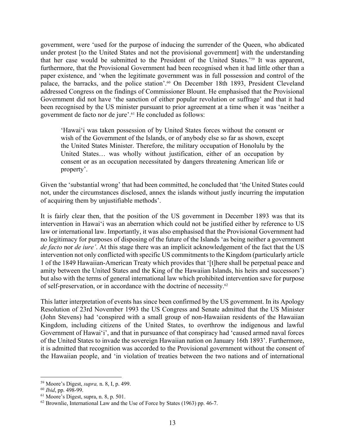government, were 'used for the purpose of inducing the surrender of the Queen, who abdicated under protest [to the United States and not the provisional government] with the understanding that her case would be submitted to the President of the United States.'59 It was apparent, furthermore, that the Provisional Government had been recognised when it had little other than a paper existence, and 'when the legitimate government was in full possession and control of the palace, the barracks, and the police station'.60 On December 18th 1893, President Cleveland addressed Congress on the findings of Commissioner Blount. He emphasised that the Provisional Government did not have 'the sanction of either popular revolution or suffrage' and that it had been recognised by the US minister pursuant to prior agreement at a time when it was 'neither a government de facto nor de jure'.61 He concluded as follows:

'Hawai'i was taken possession of by United States forces without the consent or wish of the Government of the Islands, or of anybody else so far as shown, except the United States Minister. Therefore, the military occupation of Honolulu by the United States… was wholly without justification, either of an occupation by consent or as an occupation necessitated by dangers threatening American life or property'.

Given the 'substantial wrong' that had been committed, he concluded that 'the United States could not, under the circumstances disclosed, annex the islands without justly incurring the imputation of acquiring them by unjustifiable methods'.

It is fairly clear then, that the position of the US government in December 1893 was that its intervention in Hawai'i was an aberration which could not be justified either by reference to US law or international law. Importantly, it was also emphasised that the Provisional Government had no legitimacy for purposes of disposing of the future of the Islands 'as being neither a government *de facto* nor *de iure'*. At this stage there was an implicit acknowledgement of the fact that the US intervention not only conflicted with specific US commitments to the Kingdom (particularly article 1 of the 1849 Hawaiian-American Treaty which provides that '[t]here shall be perpetual peace and amity between the United States and the King of the Hawaiian Islands, his heirs and successors') but also with the terms of general international law which prohibited intervention save for purpose of self-preservation, or in accordance with the doctrine of necessity.62

This latter interpretation of events has since been confirmed by the US government. In its Apology Resolution of 23rd November 1993 the US Congress and Senate admitted that the US Minister (John Stevens) had 'conspired with a small group of non-Hawaiian residents of the Hawaiian Kingdom, including citizens of the United States, to overthrow the indigenous and lawful Government of Hawai'i', and that in pursuance of that conspiracy had 'caused armed naval forces of the United States to invade the sovereign Hawaiian nation on January 16th 1893'. Furthermore, it is admitted that recognition was accorded to the Provisional government without the consent of the Hawaiian people, and 'in violation of treaties between the two nations and of international

<sup>59</sup> Moore's Digest, *supra,* n. 8, I, p. 499.

<sup>60</sup> *Ibid*, pp. 498-99.

<sup>61</sup> Moore's Digest, supra, n. 8, p. 501.

<sup>62</sup> Brownlie, International Law and the Use of Force by States (1963) pp. 46-7.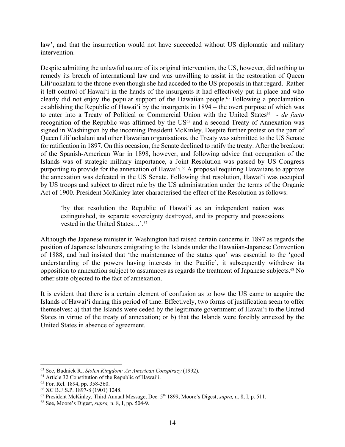law', and that the insurrection would not have succeeded without US diplomatic and military intervention.

Despite admitting the unlawful nature of its original intervention, the US, however, did nothing to remedy its breach of international law and was unwilling to assist in the restoration of Queen Lili'uokalani to the throne even though she had acceded to the US proposals in that regard. Rather it left control of Hawai'i in the hands of the insurgents it had effectively put in place and who clearly did not enjoy the popular support of the Hawaiian people.63 Following a proclamation establishing the Republic of Hawai'i by the insurgents in 1894 – the overt purpose of which was to enter into a Treaty of Political or Commercial Union with the United States<sup>64</sup> - *de facto* recognition of the Republic was affirmed by the US<sup>65</sup> and a second Treaty of Annexation was signed in Washington by the incoming President McKinley. Despite further protest on the part of Queen Lili'uokalani and other Hawaiian organisations, the Treaty was submitted to the US Senate for ratification in 1897. On this occasion, the Senate declined to ratify the treaty. After the breakout of the Spanish-American War in 1898, however, and following advice that occupation of the Islands was of strategic military importance, a Joint Resolution was passed by US Congress purporting to provide for the annexation of Hawai'i. <sup>66</sup> A proposal requiring Hawaiians to approve the annexation was defeated in the US Senate. Following that resolution, Hawai'i was occupied by US troops and subject to direct rule by the US administration under the terms of the Organic Act of 1900. President McKinley later characterised the effect of the Resolution as follows:

'by that resolution the Republic of Hawai'i as an independent nation was extinguished, its separate sovereignty destroyed, and its property and possessions vested in the United States...'.<sup>67</sup>

Although the Japanese minister in Washington had raised certain concerns in 1897 as regards the position of Japanese labourers emigrating to the Islands under the Hawaiian-Japanese Convention of 1888, and had insisted that 'the maintenance of the status quo' was essential to the 'good understanding of the powers having interests in the Pacific', it subsequently withdrew its opposition to annexation subject to assurances as regards the treatment of Japanese subjects.68 No other state objected to the fact of annexation.

It is evident that there is a certain element of confusion as to how the US came to acquire the Islands of Hawai'i during this period of time. Effectively, two forms of justification seem to offer themselves: a) that the Islands were ceded by the legitimate government of Hawai'i to the United States in virtue of the treaty of annexation; or b) that the Islands were forcibly annexed by the United States in absence of agreement.

<sup>63</sup> See, Budnick R., *Stolen Kingdom: An American Conspiracy* (1992).

<sup>64</sup> Article 32 Constitution of the Republic of Hawai'i.

<sup>65</sup> For. Rel. 1894, pp. 358-360.

<sup>66</sup> XC B.F.S.P. 1897-8 (1901) 1248.

<sup>67</sup> President McKinley, Third Annual Message, Dec. 5th 1899, Moore's Digest, *supra,* n. 8, I, p. 511.

<sup>68</sup> See, Moore's Digest, *supra,* n. 8, I, pp. 504-9.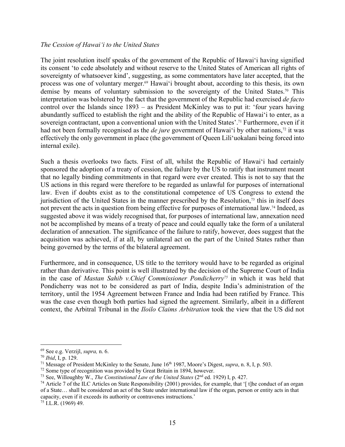#### *The Cession of Hawai'i to the United States*

The joint resolution itself speaks of the government of the Republic of Hawai'i having signified its consent 'to cede absolutely and without reserve to the United States of American all rights of sovereignty of whatsoever kind', suggesting, as some commentators have later accepted, that the process was one of voluntary merger.<sup>69</sup> Hawai'i brought about, according to this thesis, its own demise by means of voluntary submission to the sovereignty of the United States.70 This interpretation was bolstered by the fact that the government of the Republic had exercised *de facto*  control over the Islands since 1893 – as President McKinley was to put it: 'four years having abundantly sufficed to establish the right and the ability of the Republic of Hawai'i to enter, as a sovereign contractant, upon a conventional union with the United States'.71 Furthermore, even if it had not been formally recognised as the *de jure* government of Hawai'i by other nations,<sup>72</sup> it was effectively the only government in place (the government of Queen Lili'uokalani being forced into internal exile).

Such a thesis overlooks two facts. First of all, whilst the Republic of Hawai'i had certainly sponsored the adoption of a treaty of cession, the failure by the US to ratify that instrument meant that no legally binding commitments in that regard were ever created. This is not to say that the US actions in this regard were therefore to be regarded as unlawful for purposes of international law. Even if doubts exist as to the constitutional competence of US Congress to extend the jurisdiction of the United States in the manner prescribed by the Resolution, $73$  this in itself does not prevent the acts in question from being effective for purposes of international law.<sup>74</sup> Indeed, as suggested above it was widely recognised that, for purposes of international law, annexation need not be accomplished by means of a treaty of peace and could equally take the form of a unilateral declaration of annexation. The significance of the failure to ratify, however, does suggest that the acquisition was achieved, if at all, by unilateral act on the part of the United States rather than being governed by the terms of the bilateral agreement.

Furthermore, and in consequence, US title to the territory would have to be regarded as original rather than derivative. This point is well illustrated by the decision of the Supreme Court of India in the case of *Mastan Sahib v.Chief Commissioner Pondicherry75* in which it was held that Pondicherry was not to be considered as part of India, despite India's administration of the territory, until the 1954 Agreement between France and India had been ratified by France. This was the case even though both parties had signed the agreement. Similarly, albeit in a different context, the Arbitral Tribunal in the *Iloilo Claims Arbitration* took the view that the US did not

 $75$  I.L.R. (1969) 49.

<sup>69</sup> See e.g. Verzijl, *supra,* n. 6.

<sup>70</sup> *Ibid*, I, p. 129.

<sup>&</sup>lt;sup>71</sup> Message of President McKinley to the Senate, June 16<sup>th</sup> 1987, Moore's Digest, *supra*, n. 8, I, p. 503.

<sup>&</sup>lt;sup>72</sup> Some type of recognition was provided by Great Britain in 1894, however.

<sup>73</sup> See, Willoughby W., *The Constitutional Law of the United States* (2nd ed. 1929) I, p. 427.

<sup>&</sup>lt;sup>74</sup> Article 7 of the ILC Articles on State Responsibility (2001) provides, for example, that  $\int$  t] t]he conduct of an organ of a State… shall be considered an act of the State under international law if the organ, person or entity acts in that capacity, even if it exceeds its authority or contravenes instructions.'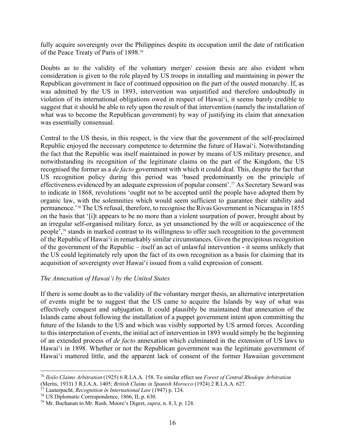fully acquire sovereignty over the Philippines despite its occupation until the date of ratification of the Peace Treaty of Paris of 1898.76

Doubts as to the validity of the voluntary merger/ cession thesis are also evident when consideration is given to the role played by US troops in installing and maintaining in power the Republican government in face of continued opposition on the part of the ousted monarchy. If, as was admitted by the US in 1893, intervention was unjustified and therefore undoubtedly in violation of its international obligations owed in respect of Hawai'i, it seems barely credible to suggest that it should be able to rely upon the result of that intervention (namely the installation of what was to become the Republican government) by way of justifying its claim that annexation was essentially consensual.

Central to the US thesis, in this respect, is the view that the government of the self-proclaimed Republic enjoyed the necessary competence to determine the future of Hawai'i. Notwithstanding the fact that the Republic was itself maintained in power by means of US military presence, and notwithstanding its recognition of the legitimate claims on the part of the Kingdom, the US recognised the former as a *de facto* government with which it could deal. This, despite the fact that US recognition policy during this period was 'based predominantly on the principle of effectiveness evidenced by an adequate expression of popular consent'.<sup>77</sup> As Secretary Seward was to indicate in 1868, revolutions 'ought not to be accepted until the people have adopted them by organic law, with the solemnities which would seem sufficient to guarantee their stability and permanence.'78 The US refusal, therefore, to recognise the Rivas Government in Nicaragua in 1855 on the basis that '[i]t appears to be no more than a violent usurpation of power, brought about by an irregular self-organised military force, as yet unsanctioned by the will or acquiescence of the people',79 stands in marked contrast to its willingness to offer such recognition to the government of the Republic of Hawai'i in remarkably similar circumstances. Given the precipitous recognition of the government of the Republic – itself an act of unlawful intervention - it seems unlikely that the US could legitimately rely upon the fact of its own recognition as a basis for claiming that its acquisition of sovereignty over Hawai'i issued from a valid expression of consent.

# *The Annexation of Hawai'i by the United States*

If there is some doubt as to the validity of the voluntary merger thesis, an alternative interpretation of events might be to suggest that the US came to acquire the Islands by way of what was effectively conquest and subjugation. It could plausibly be maintained that annexation of the Islands came about following the installation of a puppet government intent upon committing the future of the Islands to the US and which was visibly supported by US armed forces. According to this interpretation of events, the initial act of intervention in 1893 would simply be the beginning of an extended process of *de facto* annexation which culminated in the extension of US laws to Hawai'i in 1898. Whether or not the Republican government was the legitimate government of Hawai'i mattered little, and the apparent lack of consent of the former Hawaiian government

<sup>76</sup> *Iloilo Claims Arbitration* (1925) 6 R.I.A.A. 158. To similar effect see *Forest of Central Rhodope Arbitration*  (Merits, 1933) 3 R.I.A.A. 1405; *British Claims in Spanish Morocco* (1924) 2 R.I.A.A. 627.

<sup>77</sup> Lauterpacht, *Recognition in International Law* (1947) p. 124.

<sup>78</sup> US Diplomatic Correspondence, 1866, II, p. 630.

<sup>79</sup> Mr. Buchanan to Mr. Rush. Moore's Digest, *supra*, n. 8, I, p. 124.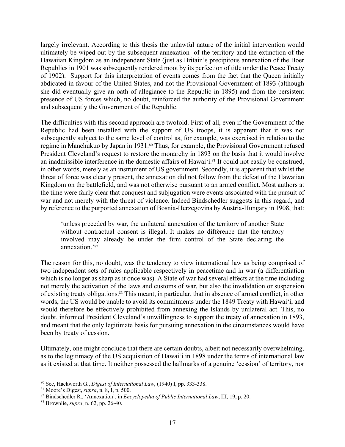largely irrelevant. According to this thesis the unlawful nature of the initial intervention would ultimately be wiped out by the subsequent annexation of the territory and the extinction of the Hawaiian Kingdom as an independent State (just as Britain's precipitous annexation of the Boer Republics in 1901 was subsequently rendered moot by its perfection of title under the Peace Treaty of 1902). Support for this interpretation of events comes from the fact that the Queen initially abdicated in favour of the United States, and not the Provisional Government of 1893 (although she did eventually give an oath of allegiance to the Republic in 1895) and from the persistent presence of US forces which, no doubt, reinforced the authority of the Provisional Government and subsequently the Government of the Republic.

The difficulties with this second approach are twofold. First of all, even if the Government of the Republic had been installed with the support of US troops, it is apparent that it was not subsequently subject to the same level of control as, for example, was exercised in relation to the regime in Manchukuo by Japan in 1931.<sup>80</sup> Thus, for example, the Provisional Government refused President Cleveland's request to restore the monarchy in 1893 on the basis that it would involve an inadmissible interference in the domestic affairs of Hawai'i. <sup>81</sup> It could not easily be construed, in other words, merely as an instrument of US government. Secondly, it is apparent that whilst the threat of force was clearly present, the annexation did not follow from the defeat of the Hawaiian Kingdom on the battlefield, and was not otherwise pursuant to an armed conflict. Most authors at the time were fairly clear that conquest and subjugation were events associated with the pursuit of war and not merely with the threat of violence. Indeed Bindschedler suggests in this regard, and by reference to the purported annexation of Bosnia-Herzegovina by Austria-Hungary in 1908, that:

'unless preceded by war, the unilateral annexation of the territory of another State without contractual consent is illegal. It makes no difference that the territory involved may already be under the firm control of the State declaring the annexation.'82

The reason for this, no doubt, was the tendency to view international law as being comprised of two independent sets of rules applicable respectively in peacetime and in war (a differentiation which is no longer as sharp as it once was). A State of war had several effects at the time including not merely the activation of the laws and customs of war, but also the invalidation or suspension of existing treaty obligations.83 This meant, in particular, that in absence of armed conflict, in other words, the US would be unable to avoid its commitments under the 1849 Treaty with Hawai'i, and would therefore be effectively prohibited from annexing the Islands by unilateral act. This, no doubt, informed President Cleveland's unwillingness to support the treaty of annexation in 1893, and meant that the only legitimate basis for pursuing annexation in the circumstances would have been by treaty of cession.

Ultimately, one might conclude that there are certain doubts, albeit not necessarily overwhelming, as to the legitimacy of the US acquisition of Hawai'i in 1898 under the terms of international law as it existed at that time. It neither possessed the hallmarks of a genuine 'cession' of territory, nor

<sup>80</sup> See, Hackworth G., *Digest of International Law*, (1940) I, pp. 333-338.

<sup>81</sup> Moore's Digest, *supra*, n. 8, I, p. 500.

<sup>82</sup> Bindschedler R., 'Annexation', in *Encyclopedia of Public International Law*, III, 19, p. 20.

<sup>83</sup> Brownlie, *supra*, n. 62, pp. 26-40.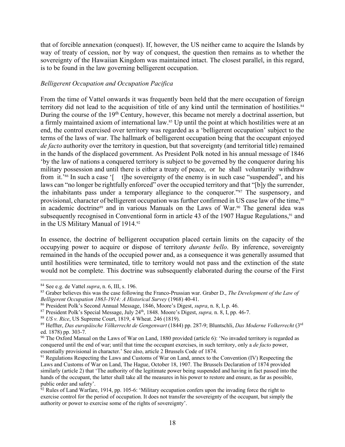that of forcible annexation (conquest). If, however, the US neither came to acquire the Islands by way of treaty of cession, nor by way of conquest, the question then remains as to whether the sovereignty of the Hawaiian Kingdom was maintained intact. The closest parallel, in this regard, is to be found in the law governing belligerent occupation.

## *Belligerent Occupation and Occupation Pacifica*

From the time of Vattel onwards it was frequently been held that the mere occupation of foreign territory did not lead to the acquisition of title of any kind until the termination of hostilities.<sup>84</sup> During the course of the 19<sup>th</sup> Century, however, this became not merely a doctrinal assertion, but a firmly maintained axiom of international law.<sup>85</sup> Up until the point at which hostilities were at an end, the control exercised over territory was regarded as a 'belligerent occupation' subject to the terms of the laws of war. The hallmark of belligerent occupation being that the occupant enjoyed *de facto* authority over the territory in question, but that sovereignty (and territorial title) remained in the hands of the displaced government. As President Polk noted in his annual message of 1846 'by the law of nations a conquered territory is subject to be governed by the conqueror during his military possession and until there is either a treaty of peace, or he shall voluntarily withdraw from it.<sup>386</sup> In such a case '[ t]he sovereignty of the enemy is in such case "suspended", and his laws can "no longer be rightfully enforced" over the occupied territory and that "[b]y the surrender, the inhabitants pass under a temporary allegiance to the conqueror."87 The suspensory, and provisional, character of belligerent occupation was further confirmed in US case law of the time,<sup>88</sup> in academic doctrine<sup>89</sup> and in various Manuals on the Laws of War.<sup>90</sup> The general idea was subsequently recognised in Conventional form in article 43 of the 1907 Hague Regulations, $91$  and in the US Military Manual of 1914.92

In essence, the doctrine of belligerent occupation placed certain limits on the capacity of the occupying power to acquire or dispose of territory *durante bello*. By inference, sovereignty remained in the hands of the occupied power and, as a consequence it was generally assumed that until hostilities were terminated, title to territory would not pass and the extinction of the state would not be complete. This doctrine was subsequently elaborated during the course of the First

<sup>84</sup> See e.g. de Vattel *supra*, n. 6, III, s. 196.

<sup>85</sup> Graber believes this was the case following the Franco-Prussian war. Graber D., *The Development of the Law of Belligerent Occupation 1863-1914: A Historical Survey* (1968) 40-41.

<sup>86</sup> President Polk's Second Annual Message, 1846, Moore's Digest, *supra*, n. 8, I, p. 46.

<sup>&</sup>lt;sup>87</sup> President Polk's Special Message, July 24<sup>th</sup>, 1848. Moore's Digest, *supra*, n. 8, I, pp. 46-7.

<sup>88</sup> *US v. Rice*, US Supreme Court, 1819, 4 Wheat. 246 (1819).

<sup>89</sup> Heffter, *Das europäische Völkerrecht de Gengenwart* (1844) pp. 287-9; Bluntschli, *Das Moderne Volkerrecht* (3rd ed. 1878) pp. 303-7.

<sup>&</sup>lt;sup>90</sup> The Oxford Manual on the Laws of War on Land, 1880 provided (article 6): 'No invaded territory is regarded as conquered until the end of war; until that time the occupant exercises, in such territory, only a *de facto* power, essentially provisional in character.' See also, article 2 Brussels Code of 1874.

<sup>&</sup>lt;sup>91</sup> Regulations Respecting the Laws and Customs of War on Land, annex to the Convention (IV) Respecting the Laws and Customs of War on Land, The Hague, October 18, 1907. The Brussels Declaration of 1874 provided similarly (article 2) that 'The authority of the legitimate power being suspended and having in fact passed into the hands of the occupant, the latter shall take all the measures in his power to restore and ensure, as far as possible, public order and safety'.

 $\frac{1}{92}$  Rules of Land Warfare, 1914, pp. 105-6: 'Military occupation confers upon the invading force the right to exercise control for the period of occupation. It does not transfer the sovereignty of the occupant, but simply the authority or power to exercise some of the rights of sovereignty'.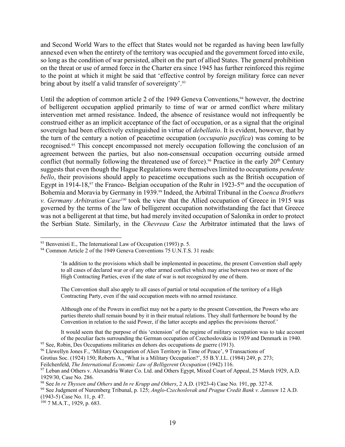and Second World Wars to the effect that States would not be regarded as having been lawfully annexed even when the entirety of the territory was occupied and the government forced into exile, so long as the condition of war persisted, albeit on the part of allied States. The general prohibition on the threat or use of armed force in the Charter era since 1945 has further reinforced this regime to the point at which it might be said that 'effective control by foreign military force can never bring about by itself a valid transfer of sovereignty'.93

Until the adoption of common article 2 of the 1949 Geneva Conventions,  $94$  however, the doctrine of belligerent occupation applied primarily to time of war or armed conflict where military intervention met armed resistance. Indeed, the absence of resistance would not infrequently be construed either as an implicit acceptance of the fact of occupation, or as a signal that the original sovereign had been effectively extinguished in virtue of *debellatio*. It is evident, however, that by the turn of the century a notion of peacetime occupation (*occupatio pacifica*) was coming to be recognised.95 This concept encompassed not merely occupation following the conclusion of an agreement between the parties, but also non-consensual occupation occurring outside armed conflict (but normally following the threatened use of force).<sup>96</sup> Practice in the early  $20<sup>th</sup>$  Century suggests that even though the Hague Regulations were themselves limited to occupations *pendente bello*, their provisions should apply to peacetime occupations such as the British occupation of Egypt in 1914-18,<sup>97</sup> the Franco- Belgian occupation of the Ruhr in 1923-5<sup>98</sup> and the occupation of Bohemia and Moravia by Germany in 1939.99 Indeed, the Arbitral Tribunal in the *Coenca Brothers v. Germany Arbitration Case100* took the view that the Allied occupation of Greece in 1915 was governed by the terms of the law of belligerent occupation notwithstanding the fact that Greece was not a belligerent at that time, but had merely invited occupation of Salonika in order to protect the Serbian State. Similarly, in the *Chevreau Case* the Arbitrator intimated that the laws of

The Convention shall also apply to all cases of partial or total occupation of the territory of a High Contracting Party, even if the said occupation meets with no armed resistance.

Although one of the Powers in conflict may not be a party to the present Convention, the Powers who are parties thereto shall remain bound by it in their mutual relations. They shall furthermore be bound by the Convention in relation to the said Power, if the latter accepts and applies the provisions thereof.'

It would seem that the purpose of this 'extension' of the regime of military occupation was to take account of the peculiar facts surrounding the German occupation of Czechoslovakia in 1939 and Denmark in 1940.

<sup>95</sup> See, Robin, Des Occupations militaries en dehors des occupations de guerre (1913).

Grotius Soc. (1924) 150; Roberts A., 'What is a Military Occupation?', 55 B.Y.I.L. (1984) 249, p. 273;

(1943-5) Case No. 11, p. 47.

<sup>93</sup> Benvenisti E., The International Law of Occupation (1993) p. 5.

<sup>&</sup>lt;sup>94</sup> Common Article 2 of the 1949 Geneva Conventions 75 U.N.T.S. 31 reads:

<sup>&#</sup>x27;In addition to the provisions which shall be implemented in peacetime, the present Convention shall apply to all cases of declared war or of any other armed conflict which may arise between two or more of the High Contracting Parties, even if the state of war is not recognized by one of them.

<sup>96</sup> Llewellyn Jones F., 'Military Occupation of Alien Territory in Time of Peace', 9 Transactions of

Feilchenfeld, *The International Economic Law of Belligerent Occupation* (1942) 116.

<sup>97</sup> Leban and Others v. Alexandria Water Co. Ltd. and Others Egypt, Mixed Court of Appeal, 25 March 1929, A.D. 1929/30, Case No. 286.

<sup>98</sup> See *In re Thyssen and Others* and *In re Krupp and Others*, 2 A.D. (1923-4) Case No. 191, pp. 327-8.

<sup>99</sup> See Judgment of Nuremberg Tribunal, p. 125; *Anglo-Czechoslovak and Prague Credit Bank v. Janssen* 12 A.D.

 $100$  7 M.A.T., 1929, p. 683.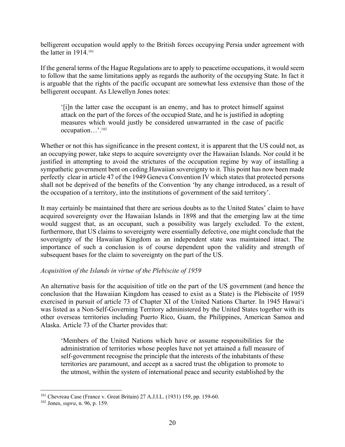belligerent occupation would apply to the British forces occupying Persia under agreement with the latter in 1914.101

If the general terms of the Hague Regulations are to apply to peacetime occupations, it would seem to follow that the same limitations apply as regards the authority of the occupying State. In fact it is arguable that the rights of the pacific occupant are somewhat less extensive than those of the belligerent occupant. As Llewellyn Jones notes:

'[i]n the latter case the occupant is an enemy, and has to protect himself against attack on the part of the forces of the occupied State, and he is justified in adopting measures which would justly be considered unwarranted in the case of pacific occupation…'.102

Whether or not this has significance in the present context, it is apparent that the US could not, as an occupying power, take steps to acquire sovereignty over the Hawaiian Islands. Nor could it be justified in attempting to avoid the strictures of the occupation regime by way of installing a sympathetic government bent on ceding Hawaiian sovereignty to it. This point has now been made perfectly clear in article 47 of the 1949 Geneva Convention IV which states that protected persons shall not be deprived of the benefits of the Convention 'by any change introduced, as a result of the occupation of a territory, into the institutions of government of the said territory'.

It may certainly be maintained that there are serious doubts as to the United States' claim to have acquired sovereignty over the Hawaiian Islands in 1898 and that the emerging law at the time would suggest that, as an occupant, such a possibility was largely excluded. To the extent, furthermore, that US claims to sovereignty were essentially defective, one might conclude that the sovereignty of the Hawaiian Kingdom as an independent state was maintained intact. The importance of such a conclusion is of course dependent upon the validity and strength of subsequent bases for the claim to sovereignty on the part of the US.

# *Acquisition of the Islands in virtue of the Plebiscite of 1959*

An alternative basis for the acquisition of title on the part of the US government (and hence the conclusion that the Hawaiian Kingdom has ceased to exist as a State) is the Plebiscite of 1959 exercised in pursuit of article 73 of Chapter XI of the United Nations Charter. In 1945 Hawai'i was listed as a Non-Self-Governing Territory administered by the United States together with its other overseas territories including Puerto Rico, Guam, the Philippines, American Samoa and Alaska. Article 73 of the Charter provides that:

'Members of the United Nations which have or assume responsibilities for the administration of territories whose peoples have not yet attained a full measure of self-government recognise the principle that the interests of the inhabitants of these territories are paramount, and accept as a sacred trust the obligation to promote to the utmost, within the system of international peace and security established by the

<sup>101</sup> Chevreau Case (France v. Great Britain) 27 A.J.I.L. (1931) 159, pp. 159-60.

<sup>102</sup> Jones, *supra*, n. 96, p. 159.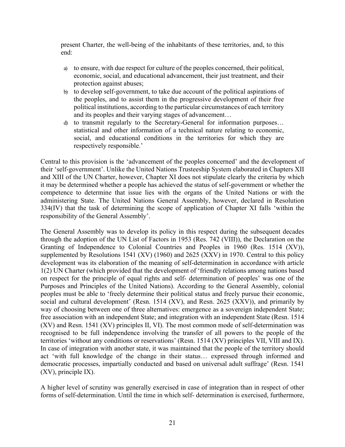present Charter, the well-being of the inhabitants of these territories, and, to this end:

- a) to ensure, with due respect for culture of the peoples concerned, their political, economic, social, and educational advancement, their just treatment, and their protection against abuses;
- b) to develop self-government, to take due account of the political aspirations of the peoples, and to assist them in the progressive development of their free political institutions, according to the particular circumstances of each territory and its peoples and their varying stages of advancement…
- d) to transmit regularly to the Secretary-General for information purposes… statistical and other information of a technical nature relating to economic, social, and educational conditions in the territories for which they are respectively responsible.'

Central to this provision is the 'advancement of the peoples concerned' and the development of their 'self-government'. Unlike the United Nations Trusteeship System elaborated in Chapters XII and XIII of the UN Charter, however, Chapter XI does not stipulate clearly the criteria by which it may be determined whether a people has achieved the status of self-government or whether the competence to determine that issue lies with the organs of the United Nations or with the administering State. The United Nations General Assembly, however, declared in Resolution 334(IV) that the task of determining the scope of application of Chapter XI falls 'within the responsibility of the General Assembly'.

The General Assembly was to develop its policy in this respect during the subsequent decades through the adoption of the UN List of Factors in 1953 (Res. 742 (VIII)), the Declaration on the Granting of Independence to Colonial Countries and Peoples in 1960 (Res. 1514 (XV)), supplemented by Resolutions 1541 (XV) (1960) and 2625 (XXV) in 1970. Central to this policy development was its elaboration of the meaning of self-determination in accordance with article 1(2) UN Charter (which provided that the development of 'friendly relations among nations based on respect for the principle of equal rights and self- determination of peoples' was one of the Purposes and Principles of the United Nations). According to the General Assembly, colonial peoples must be able to 'freely determine their political status and freely pursue their economic, social and cultural development' (Resn. 1514 (XV), and Resn. 2625 (XXV)), and primarily by way of choosing between one of three alternatives: emergence as a sovereign independent State; free association with an independent State; and integration with an independent State (Resn. 1514 (XV) and Resn. 1541 (XV) principles II, VI). The most common mode of self-determination was recognised to be full independence involving the transfer of all powers to the people of the territories 'without any conditions or reservations' (Resn. 1514 (XV) principles VII, VIII and IX). In case of integration with another state, it was maintained that the people of the territory should act 'with full knowledge of the change in their status… expressed through informed and democratic processes, impartially conducted and based on universal adult suffrage' (Resn. 1541 (XV), principle IX).

A higher level of scrutiny was generally exercised in case of integration than in respect of other forms of self-determination. Until the time in which self- determination is exercised, furthermore,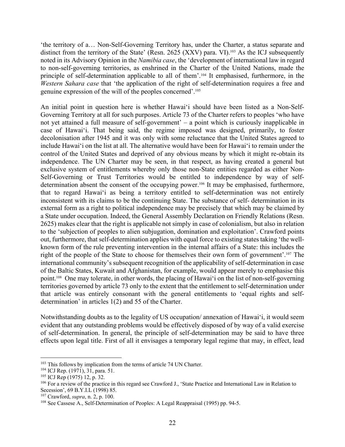'the territory of a… Non-Self-Governing Territory has, under the Charter, a status separate and distinct from the territory of the State' (Resn. 2625 (XXV) para. VI).<sup>103</sup> As the ICJ subsequently noted in its Advisory Opinion in the *Namibia case*, the 'development of international law in regard to non-self-governing territories, as enshrined in the Charter of the United Nations, made the principle of self-determination applicable to all of them'.104 It emphasised, furthermore, in the *Western Sahara case* that 'the application of the right of self-determination requires a free and genuine expression of the will of the peoples concerned'.105

An initial point in question here is whether Hawai'i should have been listed as a Non-Self-Governing Territory at all for such purposes. Article 73 of the Charter refers to peoples 'who have not yet attained a full measure of self-government' – a point which is curiously inapplicable in case of Hawai'i. That being said, the regime imposed was designed, primarily, to foster decolonisation after 1945 and it was only with some reluctance that the United States agreed to include Hawai'i on the list at all. The alternative would have been for Hawai'i to remain under the control of the United States and deprived of any obvious means by which it might re-obtain its independence. The UN Charter may be seen, in that respect, as having created a general but exclusive system of entitlements whereby only those non-State entities regarded as either Non-Self-Governing or Trust Territories would be entitled to independence by way of selfdetermination absent the consent of the occupying power.<sup>106</sup> It may be emphasised, furthermore, that to regard Hawai'i as being a territory entitled to self-determination was not entirely inconsistent with its claims to be the continuing State. The substance of self- determination in its external form as a right to political independence may be precisely that which may be claimed by a State under occupation. Indeed, the General Assembly Declaration on Friendly Relations (Resn. 2625) makes clear that the right is applicable not simply in case of colonialism, but also in relation to the 'subjection of peoples to alien subjugation, domination and exploitation'. Crawford points out, furthermore, that self-determination applies with equal force to existing states taking 'the wellknown form of the rule preventing intervention in the internal affairs of a State: this includes the right of the people of the State to choose for themselves their own form of government'.107 The international community's subsequent recognition of the applicability of self-determination in case of the Baltic States, Kuwait and Afghanistan, for example, would appear merely to emphasise this point.108 One may tolerate, in other words, the placing of Hawai'i on the list of non-self-governing territories governed by article 73 only to the extent that the entitlement to self-determination under that article was entirely consonant with the general entitlements to 'equal rights and selfdetermination' in articles 1(2) and 55 of the Charter.

Notwithstanding doubts as to the legality of US occupation/ annexation of Hawai'i, it would seem evident that any outstanding problems would be effectively disposed of by way of a valid exercise of self-determination. In general, the principle of self-determination may be said to have three effects upon legal title. First of all it envisages a temporary legal regime that may, in effect, lead

<sup>&</sup>lt;sup>103</sup> This follows by implication from the terms of article 74 UN Charter.

<sup>104</sup> ICJ Rep. (1971), 31, para. 51.

<sup>105</sup> ICJ Rep (1975) 12, p. 32.

<sup>106</sup> For a review of the practice in this regard see Crawford J., 'State Practice and International Law in Relation to Secession', 69 B.Y.I.L (1998) 85.

<sup>107</sup> Crawford, *supra*, n. 2, p. 100.

<sup>&</sup>lt;sup>108</sup> See Cassese A., Self-Determination of Peoples: A Legal Reappraisal (1995) pp. 94-5.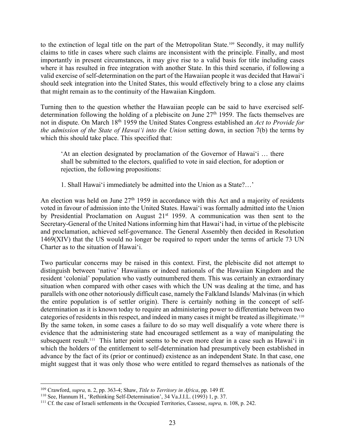to the extinction of legal title on the part of the Metropolitan State.109 Secondly, it may nullify claims to title in cases where such claims are inconsistent with the principle. Finally, and most importantly in present circumstances, it may give rise to a valid basis for title including cases where it has resulted in free integration with another State. In this third scenario, if following a valid exercise of self-determination on the part of the Hawaiian people it was decided that Hawai'i should seek integration into the United States, this would effectively bring to a close any claims that might remain as to the continuity of the Hawaiian Kingdom.

Turning then to the question whether the Hawaiian people can be said to have exercised selfdetermination following the holding of a plebiscite on June  $27<sup>th</sup>$  1959. The facts themselves are not in dispute. On March 18th 1959 the United States Congress established an *Act to Provide for the admission of the State of Hawai'i into the Union* setting down, in section 7(b) the terms by which this should take place. This specified that:

'At an election designated by proclamation of the Governor of Hawai'i … there shall be submitted to the electors, qualified to vote in said election, for adoption or rejection, the following propositions:

1. Shall Hawai'i immediately be admitted into the Union as a State?…'

An election was held on June  $27<sup>th</sup> 1959$  in accordance with this Act and a majority of residents voted in favour of admission into the United States. Hawai'i was formally admitted into the Union by Presidential Proclamation on August 21<sup>st</sup> 1959. A communication was then sent to the Secretary-General of the United Nations informing him that Hawai'i had, in virtue of the plebiscite and proclamation, achieved self-governance. The General Assembly then decided in Resolution 1469(XIV) that the US would no longer be required to report under the terms of article 73 UN Charter as to the situation of Hawai'i.

Two particular concerns may be raised in this context. First, the plebiscite did not attempt to distinguish between 'native' Hawaiians or indeed nationals of the Hawaiian Kingdom and the resident 'colonial' population who vastly outnumbered them. This was certainly an extraordinary situation when compared with other cases with which the UN was dealing at the time, and has parallels with one other notoriously difficult case, namely the Falkland Islands/ Malvinas (in which the entire population is of settler origin). There is certainly nothing in the concept of selfdetermination as it is known today to require an administering power to differentiate between two categories of residents in this respect, and indeed in many cases it might be treated as illegitimate.110 By the same token, in some cases a failure to do so may well disqualify a vote where there is evidence that the administering state had encouraged settlement as a way of manipulating the subsequent result.<sup>111</sup> This latter point seems to be even more clear in a case such as Hawai'i in which the holders of the entitlement to self-determination had presumptively been established in advance by the fact of its (prior or continued) existence as an independent State. In that case, one might suggest that it was only those who were entitled to regard themselves as nationals of the

<sup>109</sup> Crawford, *supra,* n. 2, pp. 363-4; Shaw, *Title to Territory in Africa*, pp. 149 ff.

<sup>110</sup> See, Hannum H., 'Rethinking Self-Determination', 34 Va.J.I.L. (1993) 1, p. 37.

<sup>111</sup> Cf. the case of Israeli settlements in the Occupied Territories, Cassese, *supra,* n. 108, p. 242.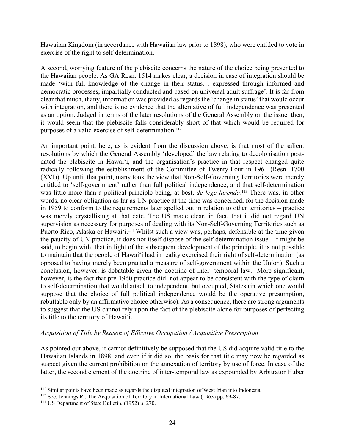Hawaiian Kingdom (in accordance with Hawaiian law prior to 1898), who were entitled to vote in exercise of the right to self-determination.

A second, worrying feature of the plebiscite concerns the nature of the choice being presented to the Hawaiian people. As GA Resn. 1514 makes clear, a decision in case of integration should be made 'with full knowledge of the change in their status… expressed through informed and democratic processes, impartially conducted and based on universal adult suffrage'. It is far from clear that much, if any, information was provided as regards the 'change in status' that would occur with integration, and there is no evidence that the alternative of full independence was presented as an option. Judged in terms of the later resolutions of the General Assembly on the issue, then, it would seem that the plebiscite falls considerably short of that which would be required for purposes of a valid exercise of self-determination.<sup>112</sup>

An important point, here, as is evident from the discussion above, is that most of the salient resolutions by which the General Assembly 'developed' the law relating to decolonisation postdated the plebiscite in Hawai'i, and the organisation's practice in that respect changed quite radically following the establishment of the Committee of Twenty-Four in 1961 (Resn. 1700 (XVI)). Up until that point, many took the view that Non-Self-Governing Territories were merely entitled to 'self-government' rather than full political independence, and that self-determination was little more than a political principle being, at best, *de lege farenda*. <sup>113</sup> There was, in other words, no clear obligation as far as UN practice at the time was concerned, for the decision made in 1959 to conform to the requirements later spelled out in relation to other territories – practice was merely crystallising at that date. The US made clear, in fact, that it did not regard UN supervision as necessary for purposes of dealing with its Non-Self-Governing Territories such as Puerto Rico, Alaska or Hawai'i.<sup>114</sup> Whilst such a view was, perhaps, defensible at the time given the paucity of UN practice, it does not itself dispose of the self-determination issue. It might be said, to begin with, that in light of the subsequent development of the principle, it is not possible to maintain that the people of Hawai'i had in reality exercised their right of self-determination (as opposed to having merely been granted a measure of self-government within the Union). Such a conclusion, however, is debatable given the doctrine of inter- temporal law. More significant, however, is the fact that pre-1960 practice did not appear to be consistent with the type of claim to self-determination that would attach to independent, but occupied, States (in which one would suppose that the choice of full political independence would be the operative presumption, rebuttable only by an affirmative choice otherwise). As a consequence, there are strong arguments to suggest that the US cannot rely upon the fact of the plebiscite alone for purposes of perfecting its title to the territory of Hawai'i.

## *Acquisition of Title by Reason of Effective Occupation / Acquisitive Prescription*

As pointed out above, it cannot definitively be supposed that the US did acquire valid title to the Hawaiian Islands in 1898, and even if it did so, the basis for that title may now be regarded as suspect given the current prohibition on the annexation of territory by use of force. In case of the latter, the second element of the doctrine of inter-temporal law as expounded by Arbitrator Huber

<sup>&</sup>lt;sup>112</sup> Similar points have been made as regards the disputed integration of West Irian into Indonesia.

<sup>113</sup> See, Jennings R., The Acquisition of Territory in International Law (1963) pp. 69-87.

<sup>114</sup> US Department of State Bulletin, (1952) p. 270.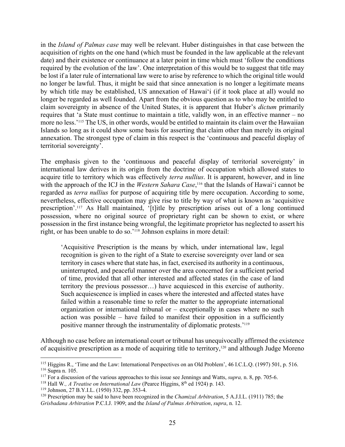in the *Island of Palmas case* may well be relevant. Huber distinguishes in that case between the acquisition of rights on the one hand (which must be founded in the law applicable at the relevant date) and their existence or continuance at a later point in time which must 'follow the conditions required by the evolution of the law'. One interpretation of this would be to suggest that title may be lost if a later rule of international law were to arise by reference to which the original title would no longer be lawful. Thus, it might be said that since annexation is no longer a legitimate means by which title may be established, US annexation of Hawai'i (if it took place at all) would no longer be regarded as well founded. Apart from the obvious question as to who may be entitled to claim sovereignty in absence of the United States, it is apparent that Huber's *dictum* primarily requires that 'a State must continue to maintain a title, validly won, in an effective manner – no more no less.'115 The US, in other words, would be entitled to maintain its claim over the Hawaiian Islands so long as it could show some basis for asserting that claim other than merely its original annexation. The strongest type of claim in this respect is the 'continuous and peaceful display of territorial sovereignty'.

The emphasis given to the 'continuous and peaceful display of territorial sovereignty' in international law derives in its origin from the doctrine of occupation which allowed states to acquire title to territory which was effectively *terra nullius*. It is apparent, however, and in line with the approach of the ICJ in the *Western Sahara Case*,<sup>116</sup> that the Islands of Hawai'i cannot be regarded as *terra nullius* for purpose of acquiring title by mere occupation. According to some, nevertheless, effective occupation may give rise to title by way of what is known as 'acquisitive prescription'.117 As Hall maintained, '[t]itle by prescription arises out of a long continued possession, where no original source of proprietary right can be shown to exist, or where possession in the first instance being wrongful, the legitimate proprietor has neglected to assert his right, or has been unable to do so.'118 Johnson explains in more detail:

'Acquisitive Prescription is the means by which, under international law, legal recognition is given to the right of a State to exercise sovereignty over land or sea territory in cases where that state has, in fact, exercised its authority in a continuous, uninterrupted, and peaceful manner over the area concerned for a sufficient period of time, provided that all other interested and affected states (in the case of land territory the previous possessor…) have acquiesced in this exercise of authority. Such acquiescence is implied in cases where the interested and affected states have failed within a reasonable time to refer the matter to the appropriate international organization or international tribunal or – exceptionally in cases where no such action was possible – have failed to manifest their opposition in a sufficiently positive manner through the instrumentality of diplomatic protests.'119

Although no case before an international court or tribunal has unequivocally affirmed the existence of acquisitive prescription as a mode of acquiring title to territory,<sup>120</sup> and although Judge Moreno

<sup>&</sup>lt;sup>115</sup> Higgins R., 'Time and the Law: International Perspectives on an Old Problem', 46 I.C.L.Q. (1997) 501, p. 516. <sup>116</sup> Supra n. 105.

<sup>117</sup> For a discussion of the various approaches to this issue see Jennings and Watts, *supra,* n. 8, pp. 705-6.

<sup>&</sup>lt;sup>118</sup> Hall W., *A Treatise on International Law* (Pearce Higgins, 8<sup>th</sup> ed 1924) p. 143.

<sup>119</sup> Johnson, 27 B.Y.I.L. (1950) 332, pp. 353-4.

<sup>120</sup> Prescription may be said to have been recognized in the *Chamizal Arbitration*, 5 A.J.I.L. (1911) 785; the *Grisbadana Arbitration* P.C.I.J. 1909; and the *Island of Palmas Arbitration*, *supra*, n. 12.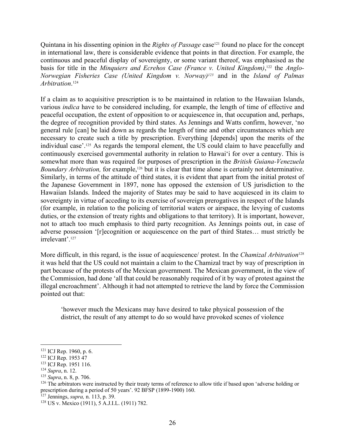Quintana in his dissenting opinion in the *Rights of Passage* case<sup>121</sup> found no place for the concept in international law, there is considerable evidence that points in that direction. For example, the continuous and peaceful display of sovereignty, or some variant thereof, was emphasised as the basis for title in the *Minquiers and Ecrehos Case (France v. United Kingdom)*,<sup>122</sup> the *Anglo*-*Norwegian Fisheries Case (United Kingdom v. Norway)123* and in the *Island of Palmas Arbitration*. 124

If a claim as to acquisitive prescription is to be maintained in relation to the Hawaiian Islands, various *indica* have to be considered including, for example, the length of time of effective and peaceful occupation, the extent of opposition to or acquiescence in, that occupation and, perhaps, the degree of recognition provided by third states. As Jennings and Watts confirm, however, 'no general rule [can] be laid down as regards the length of time and other circumstances which are necessary to create such a title by prescription. Everything [depends] upon the merits of the individual case'.<sup>125</sup> As regards the temporal element, the US could claim to have peacefully and continuously exercised governmental authority in relation to Hawai'i for over a century. This is somewhat more than was required for purposes of prescription in the *British Guiana-Venezuela Boundary Arbitration,* for example,<sup>126</sup> but it is clear that time alone is certainly not determinative. Similarly, in terms of the attitude of third states, it is evident that apart from the initial protest of the Japanese Government in 1897, none has opposed the extension of US jurisdiction to the Hawaiian Islands. Indeed the majority of States may be said to have acquiesced in its claim to sovereignty in virtue of acceding to its exercise of sovereign prerogatives in respect of the Islands (for example, in relation to the policing of territorial waters or airspace, the levying of customs duties, or the extension of treaty rights and obligations to that territory). It is important, however, not to attach too much emphasis to third party recognition. As Jennings points out, in case of adverse possession '[r]ecognition or acquiescence on the part of third States… must strictly be irrelevant'.127

More difficult, in this regard, is the issue of acquiescence/ protest. In the *Chamizal Arbitration*<sup>128</sup> it was held that the US could not maintain a claim to the Chamizal tract by way of prescription in part because of the protests of the Mexican government. The Mexican government, in the view of the Commission, had done 'all that could be reasonably required of it by way of protest against the illegal encroachment'. Although it had not attempted to retrieve the land by force the Commission pointed out that:

'however much the Mexicans may have desired to take physical possession of the district, the result of any attempt to do so would have provoked scenes of violence

<sup>121</sup> ICJ Rep. 1960, p. 6.

<sup>&</sup>lt;sup>122</sup> ICJ Rep. 1953 47

<sup>&</sup>lt;sup>123</sup> ICJ Rep. 1951 116.

<sup>124</sup> *Supra*, n. 12.

<sup>125</sup> *Supra*, n. 8, p. 706.

<sup>&</sup>lt;sup>126</sup> The arbitrators were instructed by their treaty terms of reference to allow title if based upon 'adverse holding or prescription during a period of 50 years'. 92 BFSP (1899-1900) 160.

<sup>127</sup> Jennings, *supra,* n. 113, p. 39.

<sup>128</sup> US v. Mexico (1911), 5 A.J.I.L. (1911) 782.